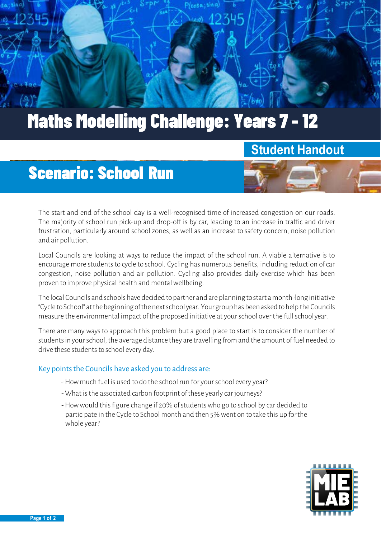

# Maths Modelling Challenge: Years 7 - 12

## **Student Handout**

# Scenario: School Run



Local Councils are looking at ways to reduce the impact of the school run. A viable alternative is to encourage more students to cycle to school. Cycling has numerous benefits, including reduction ofcar congestion, noise pollution and air pollution. Cycling also provides daily exercise which has been proven to improve physical health and mental wellbeing.

The local Councils and schools have decided topartner and are planning tostart amonth-long initiative "Cycle toSchool" atthebeginningofthenextschool year. Yourgrouphas beenaskedtohelp theCouncils measure the environmental impact of the proposed initiative at your school over the full schoolyear.

There are many ways to approach this problem but a good place to start is to consider the number of students in your school, the average distance they are travelling from and the amount of fuel needed to drive these students to school every day.

#### Key points the Councils have asked you to address are:

- -How much fuel is used to do the school run for your school every year?
- What is the associated carbon footprint of these yearly car journeys?
- -How would this figure change if 20% of students who go to school by car decided to participate in the Cycle to School month and then 5% went on to take this up forthe whole year?